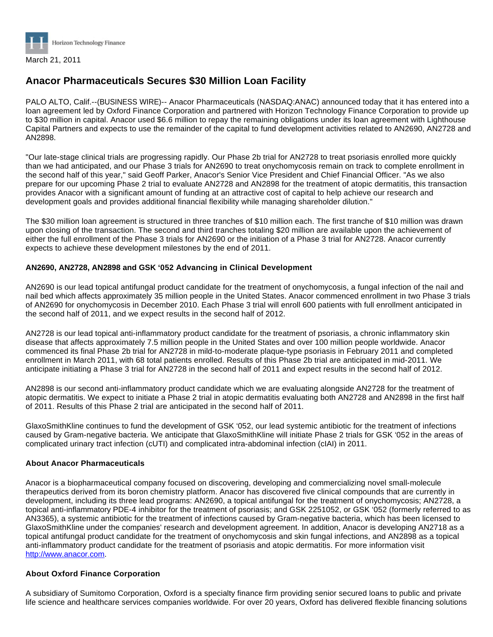

# **Anacor Pharmaceuticals Secures \$30 Million Loan Facility**

PALO ALTO, Calif.--(BUSINESS WIRE)-- Anacor Pharmaceuticals (NASDAQ:ANAC) announced today that it has entered into a loan agreement led by Oxford Finance Corporation and partnered with Horizon Technology Finance Corporation to provide up to \$30 million in capital. Anacor used \$6.6 million to repay the remaining obligations under its loan agreement with Lighthouse Capital Partners and expects to use the remainder of the capital to fund development activities related to AN2690, AN2728 and AN2898.

"Our late-stage clinical trials are progressing rapidly. Our Phase 2b trial for AN2728 to treat psoriasis enrolled more quickly than we had anticipated, and our Phase 3 trials for AN2690 to treat onychomycosis remain on track to complete enrollment in the second half of this year," said Geoff Parker, Anacor's Senior Vice President and Chief Financial Officer. "As we also prepare for our upcoming Phase 2 trial to evaluate AN2728 and AN2898 for the treatment of atopic dermatitis, this transaction provides Anacor with a significant amount of funding at an attractive cost of capital to help achieve our research and development goals and provides additional financial flexibility while managing shareholder dilution."

The \$30 million loan agreement is structured in three tranches of \$10 million each. The first tranche of \$10 million was drawn upon closing of the transaction. The second and third tranches totaling \$20 million are available upon the achievement of either the full enrollment of the Phase 3 trials for AN2690 or the initiation of a Phase 3 trial for AN2728. Anacor currently expects to achieve these development milestones by the end of 2011.

## **AN2690, AN2728, AN2898 and GSK '052 Advancing in Clinical Development**

AN2690 is our lead topical antifungal product candidate for the treatment of onychomycosis, a fungal infection of the nail and nail bed which affects approximately 35 million people in the United States. Anacor commenced enrollment in two Phase 3 trials of AN2690 for onychomycosis in December 2010. Each Phase 3 trial will enroll 600 patients with full enrollment anticipated in the second half of 2011, and we expect results in the second half of 2012.

AN2728 is our lead topical anti-inflammatory product candidate for the treatment of psoriasis, a chronic inflammatory skin disease that affects approximately 7.5 million people in the United States and over 100 million people worldwide. Anacor commenced its final Phase 2b trial for AN2728 in mild-to-moderate plaque-type psoriasis in February 2011 and completed enrollment in March 2011, with 68 total patients enrolled. Results of this Phase 2b trial are anticipated in mid-2011. We anticipate initiating a Phase 3 trial for AN2728 in the second half of 2011 and expect results in the second half of 2012.

AN2898 is our second anti-inflammatory product candidate which we are evaluating alongside AN2728 for the treatment of atopic dermatitis. We expect to initiate a Phase 2 trial in atopic dermatitis evaluating both AN2728 and AN2898 in the first half of 2011. Results of this Phase 2 trial are anticipated in the second half of 2011.

GlaxoSmithKline continues to fund the development of GSK '052, our lead systemic antibiotic for the treatment of infections caused by Gram-negative bacteria. We anticipate that GlaxoSmithKline will initiate Phase 2 trials for GSK '052 in the areas of complicated urinary tract infection (cUTI) and complicated intra-abdominal infection (cIAI) in 2011.

#### **About Anacor Pharmaceuticals**

Anacor is a biopharmaceutical company focused on discovering, developing and commercializing novel small-molecule therapeutics derived from its boron chemistry platform. Anacor has discovered five clinical compounds that are currently in development, including its three lead programs: AN2690, a topical antifungal for the treatment of onychomycosis; AN2728, a topical anti-inflammatory PDE-4 inhibitor for the treatment of psoriasis; and GSK 2251052, or GSK '052 (formerly referred to as AN3365), a systemic antibiotic for the treatment of infections caused by Gram-negative bacteria, which has been licensed to GlaxoSmithKline under the companies' research and development agreement. In addition, Anacor is developing AN2718 as a topical antifungal product candidate for the treatment of onychomycosis and skin fungal infections, and AN2898 as a topical anti-inflammatory product candidate for the treatment of psoriasis and atopic dermatitis. For more information visit [http://www.anacor.com.](http://www.anacor.com/)

#### **About Oxford Finance Corporation**

A subsidiary of Sumitomo Corporation, Oxford is a specialty finance firm providing senior secured loans to public and private life science and healthcare services companies worldwide. For over 20 years, Oxford has delivered flexible financing solutions